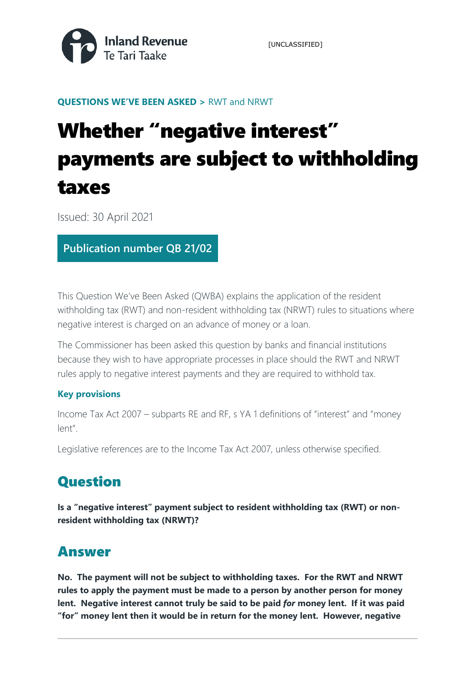

[UNCLASSIFIED]

**QUESTIONS WE'VE BEEN ASKED >** RWT and NRWT

# Whether "negative interest" payments are subject to withholding taxes

Issued: 30 April 2021

### **Publication number QB 21/02**

This Question We've Been Asked (QWBA) explains the application of the resident withholding tax (RWT) and non-resident withholding tax (NRWT) rules to situations where negative interest is charged on an advance of money or a loan.

The Commissioner has been asked this question by banks and financial institutions because they wish to have appropriate processes in place should the RWT and NRWT rules apply to negative interest payments and they are required to withhold tax.

#### **Key provisions**

Income Tax Act 2007 – subparts RE and RF, s YA 1 definitions of "interest" and "money lent".

Legislative references are to the Income Tax Act 2007, unless otherwise specified.

# **Question**

**Is a "negative interest" payment subject to resident withholding tax (RWT) or nonresident withholding tax (NRWT)?** 

## Answer

**No. The payment will not be subject to withholding taxes. For the RWT and NRWT rules to apply the payment must be made to a person by another person for money lent. Negative interest cannot truly be said to be paid** *for* **money lent. If it was paid "for" money lent then it would be in return for the money lent. However, negative**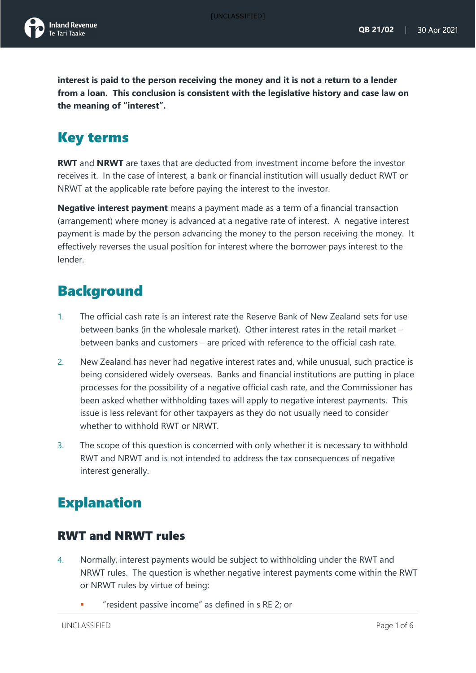**interest is paid to the person receiving the money and it is not a return to a lender from a loan. This conclusion is consistent with the legislative history and case law on the meaning of "interest".**

# Key terms

**RWT** and **NRWT** are taxes that are deducted from investment income before the investor receives it. In the case of interest, a bank or financial institution will usually deduct RWT or NRWT at the applicable rate before paying the interest to the investor.

**Negative interest payment** means a payment made as a term of a financial transaction (arrangement) where money is advanced at a negative rate of interest. A negative interest payment is made by the person advancing the money to the person receiving the money. It effectively reverses the usual position for interest where the borrower pays interest to the lender.

## **Background**

- 1. The official cash rate is an interest rate the Reserve Bank of New Zealand sets for use between banks (in the wholesale market). Other interest rates in the retail market – between banks and customers – are priced with reference to the official cash rate.
- 2. New Zealand has never had negative interest rates and, while unusual, such practice is being considered widely overseas. Banks and financial institutions are putting in place processes for the possibility of a negative official cash rate, and the Commissioner has been asked whether withholding taxes will apply to negative interest payments. This issue is less relevant for other taxpayers as they do not usually need to consider whether to withhold RWT or NRWT.
- 3. The scope of this question is concerned with only whether it is necessary to withhold RWT and NRWT and is not intended to address the tax consequences of negative interest generally.

# Explanation

### RWT and NRWT rules

- 4. Normally, interest payments would be subject to withholding under the RWT and NRWT rules. The question is whether negative interest payments come within the RWT or NRWT rules by virtue of being:
	- "resident passive income" as defined in s RE 2; or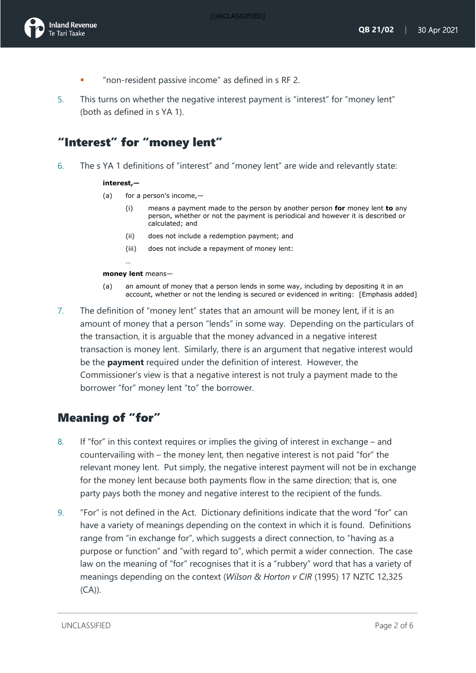- "non-resident passive income" as defined in s RF 2.
- 5. This turns on whether the negative interest payment is "interest" for "money lent" (both as defined in s YA 1).

## "Interest" for "money lent"

6. The s YA 1 definitions of "interest" and "money lent" are wide and relevantly state:

#### **interest,—**

- (a) for a person's income,—
	- (i) means a payment made to the person by another person **for** money lent **to** any person, whether or not the payment is periodical and however it is described or calculated; and
	- (ii) does not include a redemption payment; and
	- (iii) does not include a repayment of money lent:

#### **money lent** means—

…

- (a) an amount of money that a person lends in some way, including by depositing it in an account, whether or not the lending is secured or evidenced in writing: [Emphasis added]
- 7. The definition of "money lent" states that an amount will be money lent, if it is an amount of money that a person "lends" in some way. Depending on the particulars of the transaction, it is arguable that the money advanced in a negative interest transaction is money lent. Similarly, there is an argument that negative interest would be the **payment** required under the definition of interest. However, the Commissioner's view is that a negative interest is not truly a payment made to the borrower "for" money lent "to" the borrower.

### Meaning of "for"

- 8. If "for" in this context requires or implies the giving of interest in exchange and countervailing with – the money lent, then negative interest is not paid "for" the relevant money lent. Put simply, the negative interest payment will not be in exchange for the money lent because both payments flow in the same direction; that is, one party pays both the money and negative interest to the recipient of the funds.
- 9. "For" is not defined in the Act. Dictionary definitions indicate that the word "for" can have a variety of meanings depending on the context in which it is found. Definitions range from "in exchange for", which suggests a direct connection, to "having as a purpose or function" and "with regard to", which permit a wider connection. The case law on the meaning of "for" recognises that it is a "rubbery" word that has a variety of meanings depending on the context (*Wilson & Horton v CIR* (1995) 17 NZTC 12,325 (CA)).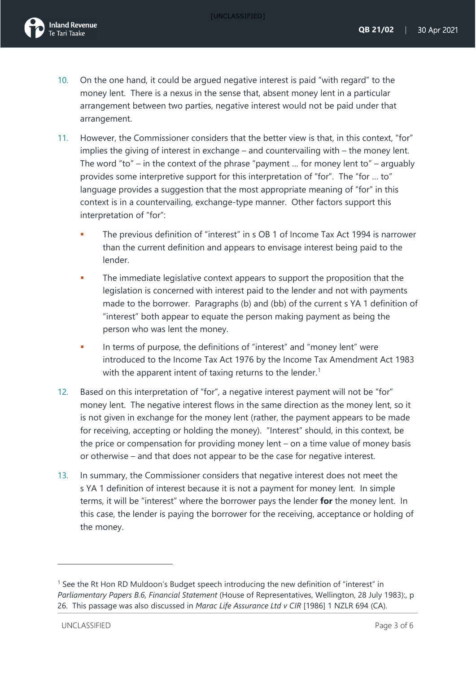

- 10. On the one hand, it could be argued negative interest is paid "with regard" to the money lent. There is a nexus in the sense that, absent money lent in a particular arrangement between two parties, negative interest would not be paid under that arrangement.
- 11. However, the Commissioner considers that the better view is that, in this context, "for" implies the giving of interest in exchange – and countervailing with – the money lent. The word "to" – in the context of the phrase "payment ... for money lent to" – arguably provides some interpretive support for this interpretation of "for". The "for … to" language provides a suggestion that the most appropriate meaning of "for" in this context is in a countervailing, exchange-type manner. Other factors support this interpretation of "for":
	- The previous definition of "interest" in s OB 1 of Income Tax Act 1994 is narrower than the current definition and appears to envisage interest being paid to the lender.
	- **The immediate legislative context appears to support the proposition that the** legislation is concerned with interest paid to the lender and not with payments made to the borrower. Paragraphs (b) and (bb) of the current s YA 1 definition of "interest" both appear to equate the person making payment as being the person who was lent the money.
	- In terms of purpose, the definitions of "interest" and "money lent" were introduced to the Income Tax Act 1976 by the Income Tax Amendment Act 1983 with the apparent intent of taxing returns to the lender.<sup>[1](#page-3-0)</sup>
- 12. Based on this interpretation of "for", a negative interest payment will not be "for" money lent. The negative interest flows in the same direction as the money lent, so it is not given in exchange for the money lent (rather, the payment appears to be made for receiving, accepting or holding the money). "Interest" should, in this context, be the price or compensation for providing money lent – on a time value of money basis or otherwise – and that does not appear to be the case for negative interest.
- 13. In summary, the Commissioner considers that negative interest does not meet the s YA 1 definition of interest because it is not a payment for money lent. In simple terms, it will be "interest" where the borrower pays the lender **for** the money lent. In this case, the lender is paying the borrower for the receiving, acceptance or holding of the money.

<span id="page-3-0"></span><sup>&</sup>lt;sup>1</sup> See the Rt Hon RD Muldoon's Budget speech introducing the new definition of "interest" in *Parliamentary Papers B.6, Financial Statement* (House of Representatives, Wellington, 28 July 1983):, p 26. This passage was also discussed in *Marac Life Assurance Ltd v CIR* [1986] 1 NZLR 694 (CA).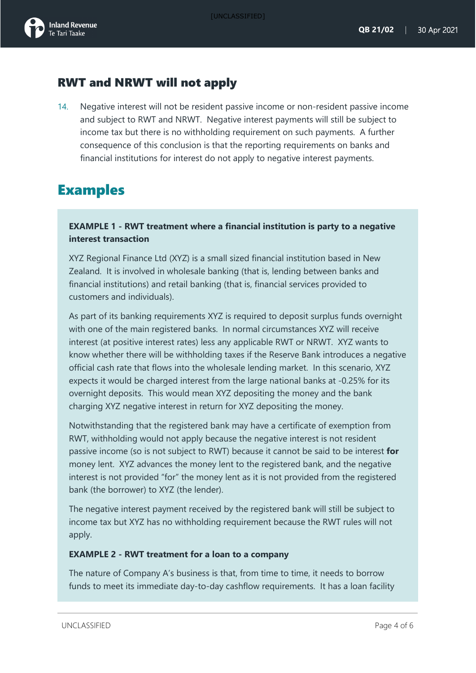#### RWT and NRWT will not apply

14. Negative interest will not be resident passive income or non-resident passive income and subject to RWT and NRWT. Negative interest payments will still be subject to income tax but there is no withholding requirement on such payments. A further consequence of this conclusion is that the reporting requirements on banks and financial institutions for interest do not apply to negative interest payments.

## Examples

#### **EXAMPLE 1 - RWT treatment where a financial institution is party to a negative interest transaction**

XYZ Regional Finance Ltd (XYZ) is a small sized financial institution based in New Zealand. It is involved in wholesale banking (that is, lending between banks and financial institutions) and retail banking (that is, financial services provided to customers and individuals).

As part of its banking requirements XYZ is required to deposit surplus funds overnight with one of the main registered banks. In normal circumstances XYZ will receive interest (at positive interest rates) less any applicable RWT or NRWT. XYZ wants to know whether there will be withholding taxes if the Reserve Bank introduces a negative official cash rate that flows into the wholesale lending market. In this scenario, XYZ expects it would be charged interest from the large national banks at -0.25% for its overnight deposits. This would mean XYZ depositing the money and the bank charging XYZ negative interest in return for XYZ depositing the money.

Notwithstanding that the registered bank may have a certificate of exemption from RWT, withholding would not apply because the negative interest is not resident passive income (so is not subject to RWT) because it cannot be said to be interest **for** money lent. XYZ advances the money lent to the registered bank, and the negative interest is not provided "for" the money lent as it is not provided from the registered bank (the borrower) to XYZ (the lender).

The negative interest payment received by the registered bank will still be subject to income tax but XYZ has no withholding requirement because the RWT rules will not apply.

#### **EXAMPLE 2 - RWT treatment for a loan to a company**

The nature of Company A's business is that, from time to time, it needs to borrow funds to meet its immediate day-to-day cashflow requirements. It has a loan facility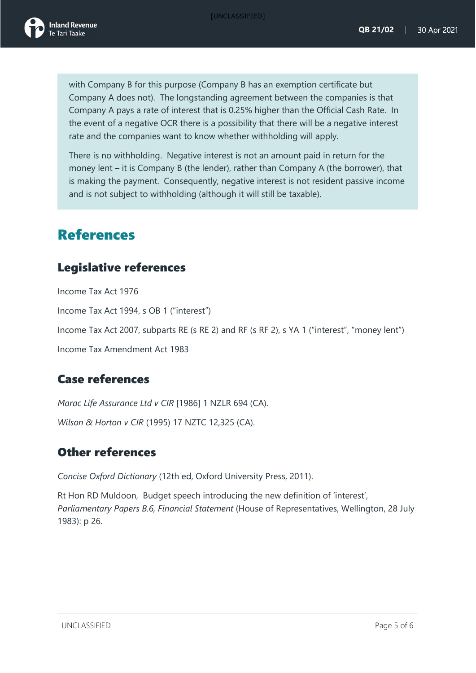with Company B for this purpose (Company B has an exemption certificate but Company A does not). The longstanding agreement between the companies is that Company A pays a rate of interest that is 0.25% higher than the Official Cash Rate. In the event of a negative OCR there is a possibility that there will be a negative interest rate and the companies want to know whether withholding will apply.

There is no withholding. Negative interest is not an amount paid in return for the money lent – it is Company B (the lender), rather than Company A (the borrower), that is making the payment. Consequently, negative interest is not resident passive income and is not subject to withholding (although it will still be taxable).

## References

#### Legislative references

Income Tax Act 1976 Income Tax Act 1994, s OB 1 ("interest") Income Tax Act 2007, subparts RE (s RE 2) and RF (s RF 2), s YA 1 ("interest", "money lent") Income Tax Amendment Act 1983

### Case references

*Marac Life Assurance Ltd v CIR* [1986] 1 NZLR 694 (CA). *Wilson & Horton v CIR* (1995) 17 NZTC 12,325 (CA).

#### Other references

*Concise Oxford Dictionary* (12th ed, Oxford University Press, 2011).

Rt Hon RD Muldoon, Budget speech introducing the new definition of 'interest', *Parliamentary Papers B.6, Financial Statement* (House of Representatives, Wellington, 28 July 1983): p 26.